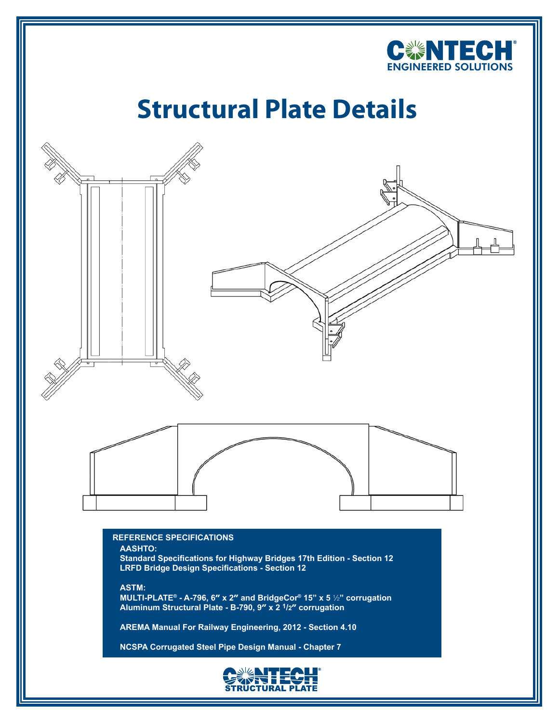

## **Structural Plate Details**



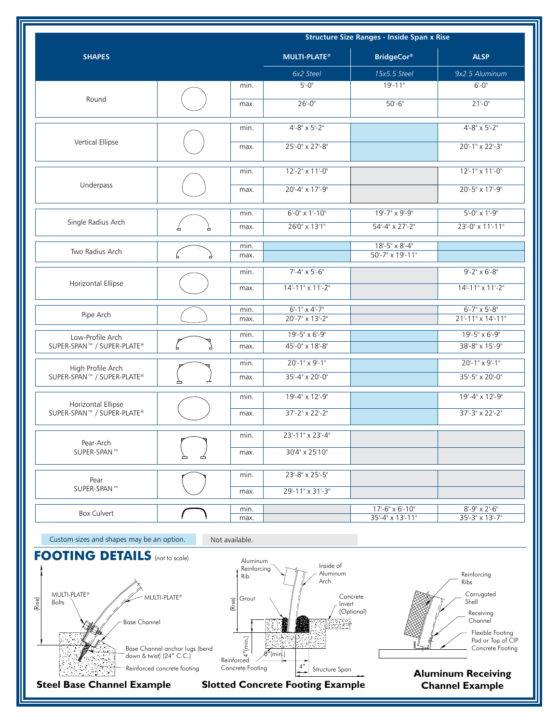|                            |              | <b>Structure Size Ranges - Inside Span x Rise</b> |                                             |                         |  |
|----------------------------|--------------|---------------------------------------------------|---------------------------------------------|-------------------------|--|
| <b>SHAPES</b>              |              | <b>MULTI-PLATE®</b>                               | <b>BridgeCor®</b>                           | <b>ALSP</b>             |  |
|                            |              | 6x2 Steel                                         | 15x5.5 Steel                                | 9x2.5 Aluminum          |  |
|                            | min.         | $5 - 0$                                           | $19 - 11$                                   | $6 - 0$ "               |  |
| Round                      | max.         | $26 - 0$ "                                        | $50 - 6$ "                                  | $21 - 0$ "              |  |
| Vertical Ellipse           | min.         | $4 - 8" \times 5' - 2"$                           |                                             | $4 - 8" \times 5' - 2"$ |  |
|                            | max.         | 25'-0" x 27'-8"                                   |                                             | 20'-1" x 22'-3"         |  |
|                            | min.         | 12'-2" x 11'-0"                                   |                                             | 12'-1" x 11'-0"         |  |
| Underpass                  | max.         | 20'-4" x 17'-9"                                   |                                             | 20'-5" x 17'-9"         |  |
|                            | min.         | $6 - 0" \times 1' - 10"$                          | 19'-7" x 9'-9"                              | $5 - 0$ " x $1 - 9$ "   |  |
| Single Radius Arch         | max.         | 26'0" x 13'1"                                     | 54'-4" x 27'-2"                             | 23'-0" x 11'-11"        |  |
| Two Radius Arch            | min.<br>max. |                                                   | $18 - 5" \times 8 - 4"$<br>50'-7" x 19'-11" |                         |  |
| Horizontal Ellipse         | min.         | $7 - 4" \times 5' - 6"$                           |                                             | $9 - 2" \times 6' - 8"$ |  |
|                            | max.         | 14'-11" x 11'-2"                                  |                                             | 14'-11" x 11'-2"        |  |
|                            | min.         | $6 - 1$ " x 4'-7"                                 |                                             | $6'$ -7" x 5'-8"        |  |
| Pipe Arch                  | max.         | 20'-7" x 13'-2"                                   |                                             | 21'-11" x 14'-11"       |  |
| Low-Profile Arch           | min.         | 19'-5" x 6'-9"                                    |                                             | 19'-5" x 6'-9"          |  |
| SUPER-SPAN™ / SUPER-PLATE® | max.         | 45'-0" x 18'-8"                                   |                                             | 38'-8" x 15'-9"         |  |
| High Profile Arch          | min.         | $20 - 1" \times 9' - 1"$                          |                                             | $20 - 1" \times 9 - 1"$ |  |
| SUPER-SPAN™ / SUPER-PLATE® | max.         | 35'-4" x 20'-0"                                   |                                             | 35'-5" x 20'-0"         |  |
| Horizontal Ellipse         | min.         | 19'-4" x 12'-9"                                   |                                             | 19'-4" x 12'-9"         |  |
| SUPER-SPAN™ / SUPER-PLATE® | max.         | 37'-2" x 22'-2"                                   |                                             | 37'-3" x 22'-2"         |  |
| Pear-Arch                  | min.         | 23'-11" x 23'-4"                                  |                                             |                         |  |
| SUPER-SPAN™                | max.         | 30'4" x 25'10"                                    |                                             |                         |  |
| Pear                       | min.         | 23'-8" x 25'-5"                                   |                                             |                         |  |
| SUPER-SPAN™                | max.         | 29'-11" x 31'-3"                                  |                                             |                         |  |
| Box Culvert                | min.         |                                                   | $17 - 6" \times 6' - 10"$                   | $8 - 9" \times 2' - 6"$ |  |
|                            | max.         |                                                   | 35'-4" x 13'-11"                            | 35'-3" x 13'-7"         |  |

Custom sizes and shapes may be an option. Not available.



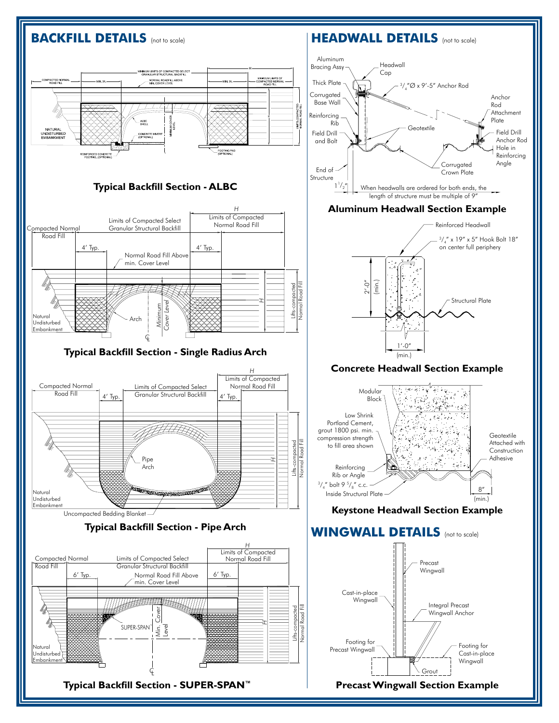